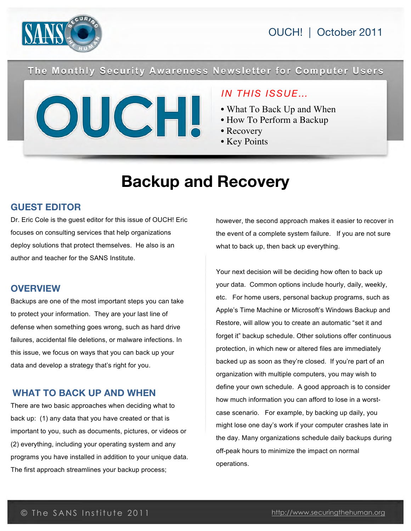

OUCH! | October 2011

The Monthly Security Awareness Newsletter for Computer Users

### *IN THIS ISSUE…*

- What To Back Up and When
- How To Perform a Backup
- Recovery
- Key Points

# **Backup and Recovery**

### **GUEST EDITOR**

Dr. Eric Cole is the guest editor for this issue of OUCH! Eric focuses on consulting services that help organizations deploy solutions that protect themselves. He also is an author and teacher for the SANS Institute.

#### **OVERVIEW**

Backups are one of the most important steps you can take to protect your information. They are your last line of defense when something goes wrong, such as hard drive failures, accidental file deletions, or malware infections. In this issue, we focus on ways that you can back up your data and develop a strategy that's right for you.

### **WHAT TO BACK UP AND WHEN**

There are two basic approaches when deciding what to back up: (1) any data that you have created or that is important to you, such as documents, pictures, or videos or (2) everything, including your operating system and any programs you have installed in addition to your unique data. The first approach streamlines your backup process;

however, the second approach makes it easier to recover in the event of a complete system failure. If you are not sure what to back up, then back up everything.

Your next decision will be deciding how often to back up your data. Common options include hourly, daily, weekly, etc. For home users, personal backup programs, such as Apple's Time Machine or Microsoft's Windows Backup and Restore, will allow you to create an automatic "set it and forget it" backup schedule. Other solutions offer continuous protection, in which new or altered files are immediately backed up as soon as they're closed. If you're part of an organization with multiple computers, you may wish to define your own schedule. A good approach is to consider how much information you can afford to lose in a worstcase scenario. For example, by backing up daily, you might lose one day's work if your computer crashes late in the day. Many organizations schedule daily backups during off-peak hours to minimize the impact on normal operations.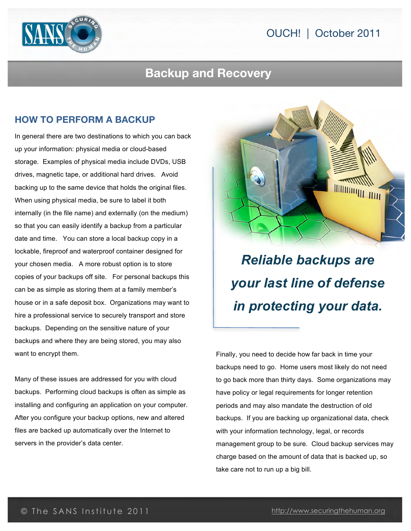



## **Backup and Recovery**

### **HOW TO PERFORM A BACKUP**

In general there are two destinations to which you can back up your information: physical media or cloud-based storage. Examples of physical media include DVDs, USB drives, magnetic tape, or additional hard drives. Avoid backing up to the same device that holds the original files. When using physical media, be sure to label it both internally (in the file name) and externally (on the medium) so that you can easily identify a backup from a particular date and time. You can store a local backup copy in a lockable, fireproof and waterproof container designed for your chosen media. A more robust option is to store copies of your backups off site. For personal backups this can be as simple as storing them at a family member's house or in a safe deposit box. Organizations may want to hire a professional service to securely transport and store backups. Depending on the sensitive nature of your backups and where they are being stored, you may also want to encrypt them.

Many of these issues are addressed for you with cloud backups. Performing cloud backups is often as simple as installing and configuring an application on your computer. After you configure your backup options, new and altered files are backed up automatically over the Internet to servers in the provider's data center.



*Reliable backups are your last line of defense in protecting your data.*

Finally, you need to decide how far back in time your backups need to go. Home users most likely do not need to go back more than thirty days. Some organizations may have policy or legal requirements for longer retention periods and may also mandate the destruction of old backups. If you are backing up organizational data, check with your information technology, legal, or records management group to be sure. Cloud backup services may charge based on the amount of data that is backed up, so take care not to run up a big bill.